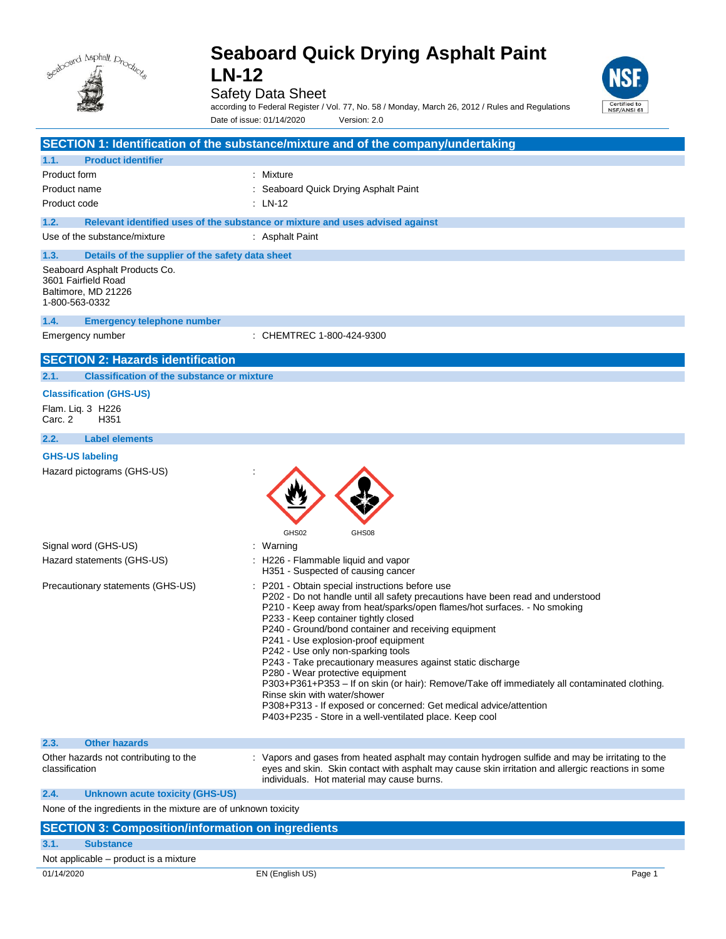

Safety Data Sheet



according to Federal Register / Vol. 77, No. 58 / Monday, March 26, 2012 / Rules and Regulations Date of issue: 01/14/2020 Version: 2.0

|                                                                                               | SECTION 1: Identification of the substance/mixture and of the company/undertaking                                                                                                                                                                                                                                                                                                                                                                                                                                                                                                                                                                                                                                                                              |
|-----------------------------------------------------------------------------------------------|----------------------------------------------------------------------------------------------------------------------------------------------------------------------------------------------------------------------------------------------------------------------------------------------------------------------------------------------------------------------------------------------------------------------------------------------------------------------------------------------------------------------------------------------------------------------------------------------------------------------------------------------------------------------------------------------------------------------------------------------------------------|
| <b>Product identifier</b><br>1.1.                                                             |                                                                                                                                                                                                                                                                                                                                                                                                                                                                                                                                                                                                                                                                                                                                                                |
| Product form                                                                                  | : Mixture                                                                                                                                                                                                                                                                                                                                                                                                                                                                                                                                                                                                                                                                                                                                                      |
| Product name                                                                                  | : Seaboard Quick Drying Asphalt Paint                                                                                                                                                                                                                                                                                                                                                                                                                                                                                                                                                                                                                                                                                                                          |
| Product code                                                                                  | : LN-12                                                                                                                                                                                                                                                                                                                                                                                                                                                                                                                                                                                                                                                                                                                                                        |
| 1.2.                                                                                          | Relevant identified uses of the substance or mixture and uses advised against                                                                                                                                                                                                                                                                                                                                                                                                                                                                                                                                                                                                                                                                                  |
| Use of the substance/mixture                                                                  | : Asphalt Paint                                                                                                                                                                                                                                                                                                                                                                                                                                                                                                                                                                                                                                                                                                                                                |
| 1.3.<br>Details of the supplier of the safety data sheet                                      |                                                                                                                                                                                                                                                                                                                                                                                                                                                                                                                                                                                                                                                                                                                                                                |
| Seaboard Asphalt Products Co.<br>3601 Fairfield Road<br>Baltimore, MD 21226<br>1-800-563-0332 |                                                                                                                                                                                                                                                                                                                                                                                                                                                                                                                                                                                                                                                                                                                                                                |
| 1.4.<br><b>Emergency telephone number</b>                                                     |                                                                                                                                                                                                                                                                                                                                                                                                                                                                                                                                                                                                                                                                                                                                                                |
| Emergency number                                                                              | : CHEMTREC 1-800-424-9300                                                                                                                                                                                                                                                                                                                                                                                                                                                                                                                                                                                                                                                                                                                                      |
| <b>SECTION 2: Hazards identification</b>                                                      |                                                                                                                                                                                                                                                                                                                                                                                                                                                                                                                                                                                                                                                                                                                                                                |
| <b>Classification of the substance or mixture</b><br>2.1.                                     |                                                                                                                                                                                                                                                                                                                                                                                                                                                                                                                                                                                                                                                                                                                                                                |
| <b>Classification (GHS-US)</b>                                                                |                                                                                                                                                                                                                                                                                                                                                                                                                                                                                                                                                                                                                                                                                                                                                                |
| Flam. Lig. 3 H226<br>Carc. 2<br>H351                                                          |                                                                                                                                                                                                                                                                                                                                                                                                                                                                                                                                                                                                                                                                                                                                                                |
| <b>Label elements</b><br>2.2.                                                                 |                                                                                                                                                                                                                                                                                                                                                                                                                                                                                                                                                                                                                                                                                                                                                                |
| <b>GHS-US labeling</b>                                                                        |                                                                                                                                                                                                                                                                                                                                                                                                                                                                                                                                                                                                                                                                                                                                                                |
| Hazard pictograms (GHS-US)                                                                    | GHS02<br>GHS08                                                                                                                                                                                                                                                                                                                                                                                                                                                                                                                                                                                                                                                                                                                                                 |
| Signal word (GHS-US)                                                                          | : Warning                                                                                                                                                                                                                                                                                                                                                                                                                                                                                                                                                                                                                                                                                                                                                      |
| Hazard statements (GHS-US)                                                                    | : H226 - Flammable liquid and vapor<br>H351 - Suspected of causing cancer                                                                                                                                                                                                                                                                                                                                                                                                                                                                                                                                                                                                                                                                                      |
| Precautionary statements (GHS-US)                                                             | P201 - Obtain special instructions before use<br>P202 - Do not handle until all safety precautions have been read and understood<br>P210 - Keep away from heat/sparks/open flames/hot surfaces. - No smoking<br>P233 - Keep container tightly closed<br>P240 - Ground/bond container and receiving equipment<br>P241 - Use explosion-proof equipment<br>P242 - Use only non-sparking tools<br>P243 - Take precautionary measures against static discharge<br>P280 - Wear protective equipment<br>P303+P361+P353 - If on skin (or hair): Remove/Take off immediately all contaminated clothing.<br>Rinse skin with water/shower<br>P308+P313 - If exposed or concerned: Get medical advice/attention<br>P403+P235 - Store in a well-ventilated place. Keep cool |
| 2.3.<br><b>Other hazards</b>                                                                  |                                                                                                                                                                                                                                                                                                                                                                                                                                                                                                                                                                                                                                                                                                                                                                |
| Other hazards not contributing to the<br>classification                                       | : Vapors and gases from heated asphalt may contain hydrogen sulfide and may be irritating to the<br>eyes and skin. Skin contact with asphalt may cause skin irritation and allergic reactions in some<br>individuals. Hot material may cause burns.                                                                                                                                                                                                                                                                                                                                                                                                                                                                                                            |
| 2.4.<br><b>Unknown acute toxicity (GHS-US)</b>                                                |                                                                                                                                                                                                                                                                                                                                                                                                                                                                                                                                                                                                                                                                                                                                                                |
| None of the ingredients in the mixture are of unknown toxicity                                |                                                                                                                                                                                                                                                                                                                                                                                                                                                                                                                                                                                                                                                                                                                                                                |
| <b>SECTION 3: Composition/information on ingredients</b>                                      |                                                                                                                                                                                                                                                                                                                                                                                                                                                                                                                                                                                                                                                                                                                                                                |
| 3.1.<br><b>Substance</b>                                                                      |                                                                                                                                                                                                                                                                                                                                                                                                                                                                                                                                                                                                                                                                                                                                                                |

Not applicable – product is a mixture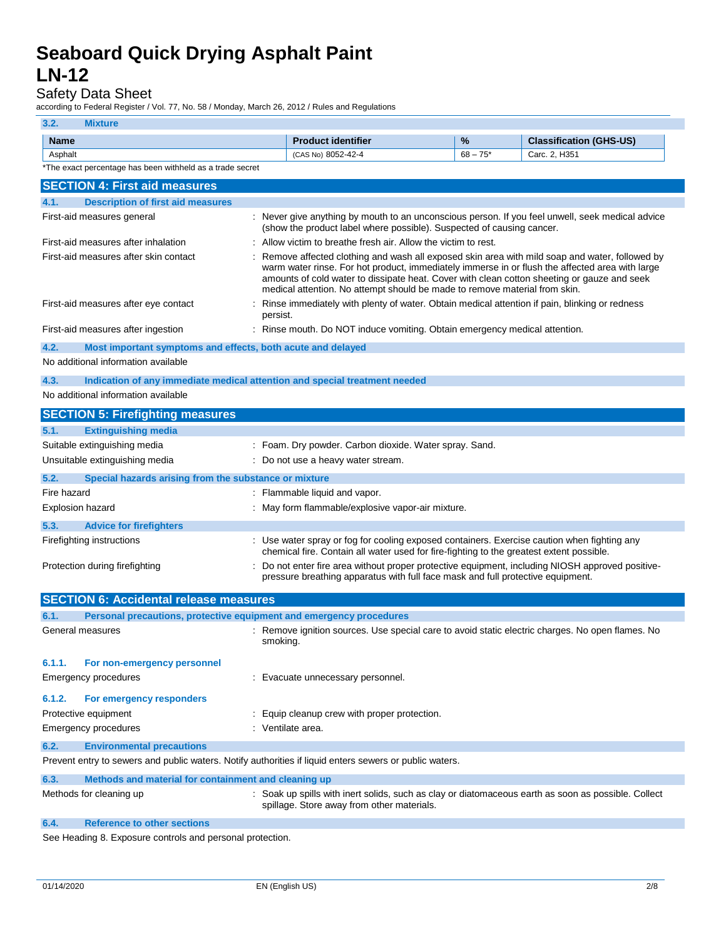### Safety Data Sheet

according to Federal Register / Vol. 77, No. 58 / Monday, March 26, 2012 / Rules and Regulations

| 3.2.             | <b>Mixture</b>                                                                                          |                                                                                                                                                                                                                                                                                                                                                                               |            |                                |
|------------------|---------------------------------------------------------------------------------------------------------|-------------------------------------------------------------------------------------------------------------------------------------------------------------------------------------------------------------------------------------------------------------------------------------------------------------------------------------------------------------------------------|------------|--------------------------------|
| <b>Name</b>      |                                                                                                         | <b>Product identifier</b>                                                                                                                                                                                                                                                                                                                                                     | %          | <b>Classification (GHS-US)</b> |
| Asphalt          |                                                                                                         | (CAS No) 8052-42-4                                                                                                                                                                                                                                                                                                                                                            | $68 - 75*$ | Carc. 2, H351                  |
|                  | *The exact percentage has been withheld as a trade secret                                               |                                                                                                                                                                                                                                                                                                                                                                               |            |                                |
|                  | <b>SECTION 4: First aid measures</b>                                                                    |                                                                                                                                                                                                                                                                                                                                                                               |            |                                |
| 4.1.             | <b>Description of first aid measures</b>                                                                |                                                                                                                                                                                                                                                                                                                                                                               |            |                                |
|                  | First-aid measures general                                                                              | : Never give anything by mouth to an unconscious person. If you feel unwell, seek medical advice<br>(show the product label where possible). Suspected of causing cancer.                                                                                                                                                                                                     |            |                                |
|                  | First-aid measures after inhalation                                                                     | Allow victim to breathe fresh air. Allow the victim to rest.                                                                                                                                                                                                                                                                                                                  |            |                                |
|                  | First-aid measures after skin contact                                                                   | Remove affected clothing and wash all exposed skin area with mild soap and water, followed by<br>warm water rinse. For hot product, immediately immerse in or flush the affected area with large<br>amounts of cold water to dissipate heat. Cover with clean cotton sheeting or gauze and seek<br>medical attention. No attempt should be made to remove material from skin. |            |                                |
|                  | First-aid measures after eye contact                                                                    | Rinse immediately with plenty of water. Obtain medical attention if pain, blinking or redness<br>persist.                                                                                                                                                                                                                                                                     |            |                                |
|                  | First-aid measures after ingestion                                                                      | : Rinse mouth. Do NOT induce vomiting. Obtain emergency medical attention.                                                                                                                                                                                                                                                                                                    |            |                                |
| 4.2.             | Most important symptoms and effects, both acute and delayed                                             |                                                                                                                                                                                                                                                                                                                                                                               |            |                                |
|                  | No additional information available                                                                     |                                                                                                                                                                                                                                                                                                                                                                               |            |                                |
| 4.3.             | Indication of any immediate medical attention and special treatment needed                              |                                                                                                                                                                                                                                                                                                                                                                               |            |                                |
|                  | No additional information available                                                                     |                                                                                                                                                                                                                                                                                                                                                                               |            |                                |
|                  | <b>SECTION 5: Firefighting measures</b>                                                                 |                                                                                                                                                                                                                                                                                                                                                                               |            |                                |
| 5.1.             | <b>Extinguishing media</b>                                                                              |                                                                                                                                                                                                                                                                                                                                                                               |            |                                |
|                  | Suitable extinguishing media                                                                            | : Foam. Dry powder. Carbon dioxide. Water spray. Sand.                                                                                                                                                                                                                                                                                                                        |            |                                |
|                  | Unsuitable extinguishing media                                                                          | : Do not use a heavy water stream.                                                                                                                                                                                                                                                                                                                                            |            |                                |
| 5.2.             | Special hazards arising from the substance or mixture                                                   |                                                                                                                                                                                                                                                                                                                                                                               |            |                                |
| Fire hazard      |                                                                                                         | : Flammable liquid and vapor.                                                                                                                                                                                                                                                                                                                                                 |            |                                |
| Explosion hazard |                                                                                                         | : May form flammable/explosive vapor-air mixture.                                                                                                                                                                                                                                                                                                                             |            |                                |
| 5.3.             | <b>Advice for firefighters</b>                                                                          |                                                                                                                                                                                                                                                                                                                                                                               |            |                                |
|                  | Firefighting instructions                                                                               | : Use water spray or fog for cooling exposed containers. Exercise caution when fighting any<br>chemical fire. Contain all water used for fire-fighting to the greatest extent possible.                                                                                                                                                                                       |            |                                |
|                  | Protection during firefighting                                                                          | Do not enter fire area without proper protective equipment, including NIOSH approved positive-<br>pressure breathing apparatus with full face mask and full protective equipment.                                                                                                                                                                                             |            |                                |
|                  | <b>SECTION 6: Accidental release measures</b>                                                           |                                                                                                                                                                                                                                                                                                                                                                               |            |                                |
| 6.1.             | Personal precautions, protective equipment and emergency procedures                                     |                                                                                                                                                                                                                                                                                                                                                                               |            |                                |
| General measures |                                                                                                         | Remove ignition sources. Use special care to avoid static electric charges. No open flames. No<br>smoking.                                                                                                                                                                                                                                                                    |            |                                |
| 6.1.1.           | For non-emergency personnel                                                                             |                                                                                                                                                                                                                                                                                                                                                                               |            |                                |
|                  | <b>Emergency procedures</b>                                                                             | : Evacuate unnecessary personnel.                                                                                                                                                                                                                                                                                                                                             |            |                                |
| 6.1.2.           | For emergency responders                                                                                |                                                                                                                                                                                                                                                                                                                                                                               |            |                                |
|                  | Protective equipment                                                                                    | : Equip cleanup crew with proper protection.                                                                                                                                                                                                                                                                                                                                  |            |                                |
|                  | <b>Emergency procedures</b>                                                                             | : Ventilate area.                                                                                                                                                                                                                                                                                                                                                             |            |                                |
| 6.2.             | <b>Environmental precautions</b>                                                                        |                                                                                                                                                                                                                                                                                                                                                                               |            |                                |
|                  | Prevent entry to sewers and public waters. Notify authorities if liquid enters sewers or public waters. |                                                                                                                                                                                                                                                                                                                                                                               |            |                                |
| 6.3.             | Methods and material for containment and cleaning up                                                    |                                                                                                                                                                                                                                                                                                                                                                               |            |                                |
|                  | Methods for cleaning up                                                                                 | : Soak up spills with inert solids, such as clay or diatomaceous earth as soon as possible. Collect<br>spillage. Store away from other materials.                                                                                                                                                                                                                             |            |                                |
| 6.4.             | <b>Reference to other sections</b>                                                                      |                                                                                                                                                                                                                                                                                                                                                                               |            |                                |

See Heading 8. Exposure controls and personal protection.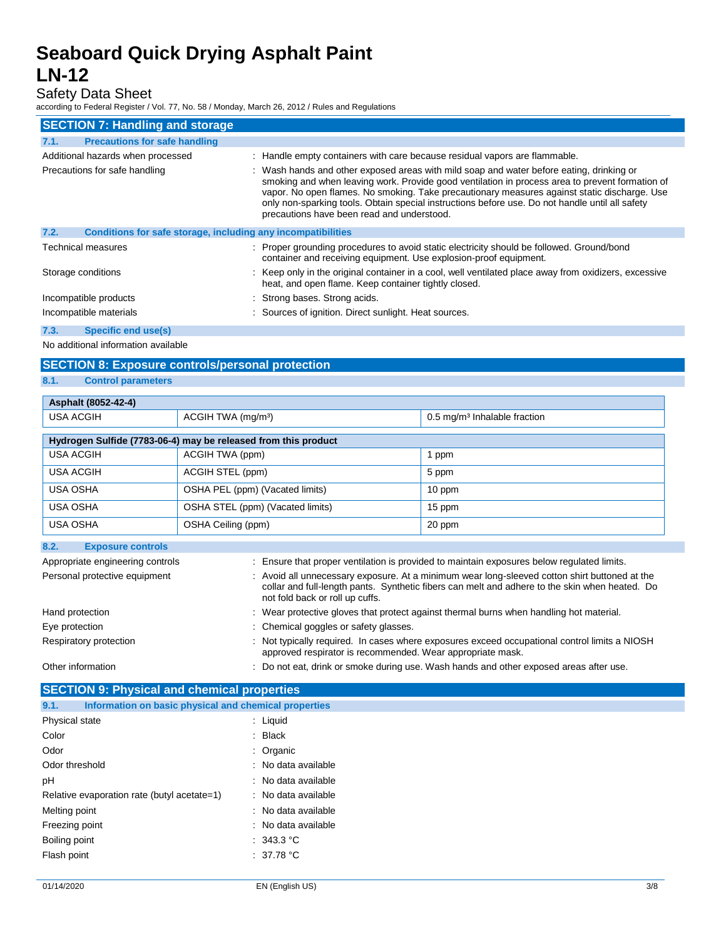### Safety Data Sheet

according to Federal Register / Vol. 77, No. 58 / Monday, March 26, 2012 / Rules and Regulations

| <b>SECTION 7: Handling and storage</b>                               |                                                                                                                                                                                                                                                                                                                                                                                                                                              |  |  |
|----------------------------------------------------------------------|----------------------------------------------------------------------------------------------------------------------------------------------------------------------------------------------------------------------------------------------------------------------------------------------------------------------------------------------------------------------------------------------------------------------------------------------|--|--|
| <b>Precautions for safe handling</b><br>7.1.                         |                                                                                                                                                                                                                                                                                                                                                                                                                                              |  |  |
| Additional hazards when processed                                    | : Handle empty containers with care because residual vapors are flammable.                                                                                                                                                                                                                                                                                                                                                                   |  |  |
| Precautions for safe handling                                        | : Wash hands and other exposed areas with mild soap and water before eating, drinking or<br>smoking and when leaving work. Provide good ventilation in process area to prevent formation of<br>vapor. No open flames. No smoking. Take precautionary measures against static discharge. Use<br>only non-sparking tools. Obtain special instructions before use. Do not handle until all safety<br>precautions have been read and understood. |  |  |
| 7.2.<br>Conditions for safe storage, including any incompatibilities |                                                                                                                                                                                                                                                                                                                                                                                                                                              |  |  |
| Technical measures                                                   | : Proper grounding procedures to avoid static electricity should be followed. Ground/bond<br>container and receiving equipment. Use explosion-proof equipment.                                                                                                                                                                                                                                                                               |  |  |
| Storage conditions                                                   | : Keep only in the original container in a cool, well ventilated place away from oxidizers, excessive<br>heat, and open flame. Keep container tightly closed.                                                                                                                                                                                                                                                                                |  |  |
| Incompatible products                                                | : Strong bases. Strong acids.                                                                                                                                                                                                                                                                                                                                                                                                                |  |  |
| Incompatible materials                                               | : Sources of ignition. Direct sunlight. Heat sources.                                                                                                                                                                                                                                                                                                                                                                                        |  |  |
| 7.3.<br><b>Specific end use(s)</b>                                   |                                                                                                                                                                                                                                                                                                                                                                                                                                              |  |  |

No additional information available

## **SECTION 8: Exposure controls/personal protection**

**8.1. Control parameters**

| Asphalt (8052-42-4)                        |                                                                |                                                       |
|--------------------------------------------|----------------------------------------------------------------|-------------------------------------------------------|
| <b>USA ACGIH</b>                           | ACGIH TWA (mg/m <sup>3</sup> )                                 | $0.5 \,\mathrm{mg/m}$ <sup>3</sup> Inhalable fraction |
|                                            |                                                                |                                                       |
|                                            | Hydrogen Sulfide (7783-06-4) may be released from this product |                                                       |
| <b>USA ACGIH</b>                           | ACGIH TWA (ppm)                                                | 1 ppm                                                 |
| USA ACGIH                                  | ACGIH STEL (ppm)                                               | 5 ppm                                                 |
| <b>USA OSHA</b>                            | OSHA PEL (ppm) (Vacated limits)                                | 10 ppm                                                |
| <b>USA OSHA</b>                            | OSHA STEL (ppm) (Vacated limits)                               | 15 ppm                                                |
| <b>USA OSHA</b>                            | OSHA Ceiling (ppm)                                             | 20 ppm                                                |
| R <sub>2</sub><br><b>Exposure controls</b> |                                                                |                                                       |

| 9.6.<br><b>LANUSULT UUITUUS</b>  |                                                                                                                                                                                                                                    |
|----------------------------------|------------------------------------------------------------------------------------------------------------------------------------------------------------------------------------------------------------------------------------|
| Appropriate engineering controls | : Ensure that proper ventilation is provided to maintain exposures below regulated limits.                                                                                                                                         |
| Personal protective equipment    | : Avoid all unnecessary exposure. At a minimum wear long-sleeved cotton shirt buttoned at the<br>collar and full-length pants. Synthetic fibers can melt and adhere to the skin when heated. Do<br>not fold back or roll up cuffs. |
| Hand protection                  | : Wear protective gloves that protect against thermal burns when handling hot material.                                                                                                                                            |
| Eye protection                   | : Chemical goggles or safety glasses.                                                                                                                                                                                              |
| Respiratory protection           | : Not typically required. In cases where exposures exceed occupational control limits a NIOSH<br>approved respirator is recommended. Wear appropriate mask.                                                                        |
| Other information                | : Do not eat, drink or smoke during use. Wash hands and other exposed areas after use.                                                                                                                                             |

## **SECTION 9: Physical and chemical properties**

| 9.1.<br>Information on basic physical and chemical properties |                     |
|---------------------------------------------------------------|---------------------|
| Physical state                                                | : Liquid            |
| Color                                                         | : Black             |
| Odor                                                          | : Organic           |
| Odor threshold                                                | : No data available |
| рH                                                            | : No data available |
| Relative evaporation rate (butyl acetate=1)                   | : No data available |
| Melting point                                                 | : No data available |
| Freezing point                                                | : No data available |
| Boiling point                                                 | : 343.3 °C          |
| Flash point                                                   | : 37.78 °C          |
|                                                               |                     |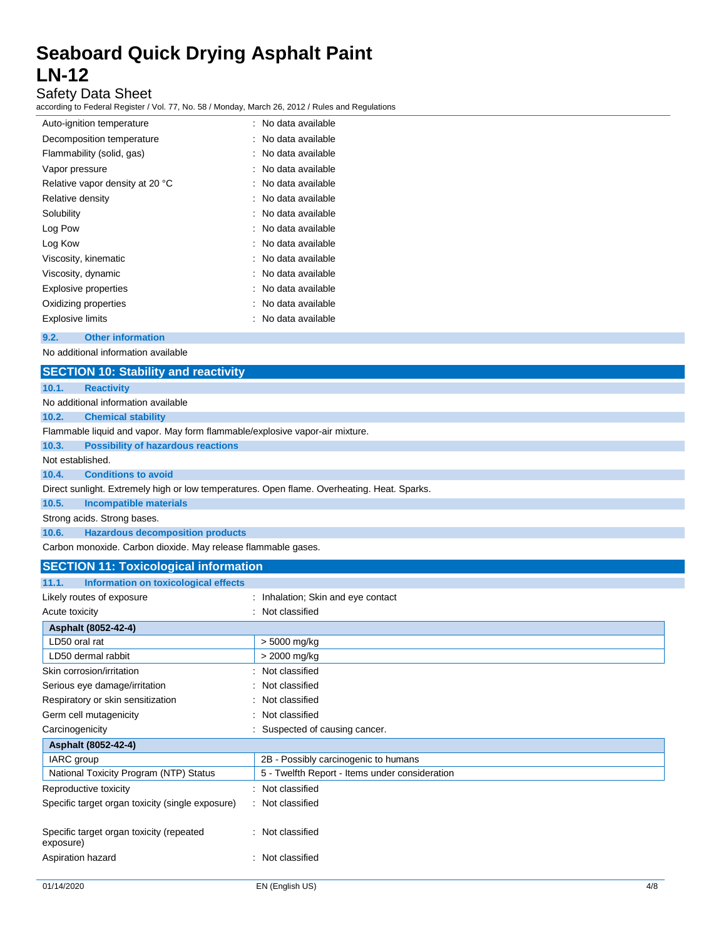### Safety Data Sheet

according to Federal Register / Vol. 77, No. 58 / Monday, March 26, 2012 / Rules and Regulations

| Auto-ignition temperature       | : No data available |
|---------------------------------|---------------------|
| Decomposition temperature       | : No data available |
| Flammability (solid, gas)       | : No data available |
| Vapor pressure                  | : No data available |
| Relative vapor density at 20 °C | : No data available |
| Relative density                | : No data available |
| Solubility                      | : No data available |
| Log Pow                         | : No data available |
| Log Kow                         | : No data available |
| Viscosity, kinematic            | : No data available |
| Viscosity, dynamic              | : No data available |
| Explosive properties            | : No data available |
| Oxidizing properties            | No data available   |
| Explosive limits                | No data available   |

### **9.2. Other information**

No additional information available

|                  | <b>SECTION 10: Stability and reactivity</b>                                                 |  |  |  |
|------------------|---------------------------------------------------------------------------------------------|--|--|--|
| 10.1.            | <b>Reactivity</b>                                                                           |  |  |  |
|                  | No additional information available                                                         |  |  |  |
| 10.2.            | <b>Chemical stability</b>                                                                   |  |  |  |
|                  | Flammable liquid and vapor. May form flammable/explosive vapor-air mixture.                 |  |  |  |
| 10.3.            | <b>Possibility of hazardous reactions</b>                                                   |  |  |  |
| Not established. |                                                                                             |  |  |  |
| 10.4.            | <b>Conditions to avoid</b>                                                                  |  |  |  |
|                  | Direct sunlight. Extremely high or low temperatures. Open flame. Overheating. Heat. Sparks. |  |  |  |
| 10.5.            | Incompatible materials                                                                      |  |  |  |
|                  | Strong acids. Strong bases.                                                                 |  |  |  |
| 10.6.            | <b>Hazardous decomposition products</b>                                                     |  |  |  |
|                  | Carbon monoxide. Carbon dioxide. May release flammable gases.                               |  |  |  |

## **SECTION 11: Toxicological information**

| 11.1.<br>Information on toxicological effects         |                                                |
|-------------------------------------------------------|------------------------------------------------|
| Likely routes of exposure                             | : Inhalation; Skin and eye contact             |
| Acute toxicity                                        | : Not classified                               |
| Asphalt (8052-42-4)                                   |                                                |
| LD50 oral rat                                         | > 5000 mg/kg                                   |
| LD50 dermal rabbit                                    | > 2000 mg/kg                                   |
| Skin corrosion/irritation                             | Not classified                                 |
| Serious eye damage/irritation                         | Not classified                                 |
| Respiratory or skin sensitization                     | Not classified                                 |
| Germ cell mutagenicity                                | Not classified                                 |
| Carcinogenicity                                       | Suspected of causing cancer.                   |
| Asphalt (8052-42-4)                                   |                                                |
| IARC group                                            | 2B - Possibly carcinogenic to humans           |
| National Toxicity Program (NTP) Status                | 5 - Twelfth Report - Items under consideration |
| Reproductive toxicity                                 | : Not classified                               |
| Specific target organ toxicity (single exposure)      | : Not classified                               |
|                                                       |                                                |
| Specific target organ toxicity (repeated<br>exposure) | : Not classified                               |
| Aspiration hazard                                     | Not classified                                 |
|                                                       |                                                |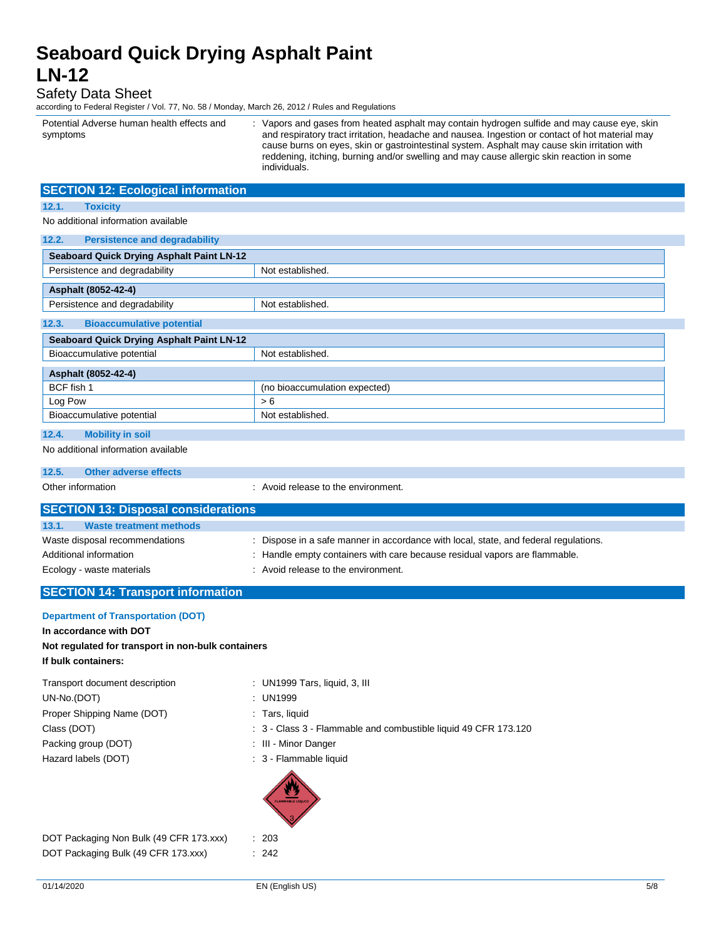### Safety Data Sheet

according to Federal Register / Vol. 77, No. 58 / Monday, March 26, 2012 / Rules and Regulations

Potential Adverse human health effects and symptoms : Vapors and gases from heated asphalt may contain hydrogen sulfide and may cause eye, skin and respiratory tract irritation, headache and nausea. Ingestion or contact of hot material may cause burns on eyes, skin or gastrointestinal system. Asphalt may cause skin irritation with reddening, itching, burning and/or swelling and may cause allergic skin reaction in some individuals.

| <b>SECTION 12: Ecological information</b>        |                               |  |
|--------------------------------------------------|-------------------------------|--|
| <b>Toxicity</b><br>12.1.                         |                               |  |
| No additional information available              |                               |  |
| 12.2.<br><b>Persistence and degradability</b>    |                               |  |
| <b>Seaboard Quick Drying Asphalt Paint LN-12</b> |                               |  |
| Persistence and degradability                    | Not established.              |  |
| Asphalt (8052-42-4)                              |                               |  |
| Persistence and degradability                    | Not established.              |  |
| 12.3.<br><b>Bioaccumulative potential</b>        |                               |  |
| <b>Seaboard Quick Drying Asphalt Paint LN-12</b> |                               |  |
| Bioaccumulative potential                        | Not established.              |  |
| Asphalt (8052-42-4)                              |                               |  |
| BCF fish 1                                       | (no bioaccumulation expected) |  |
| Log Pow                                          | > 6                           |  |
| Bioaccumulative potential                        | Not established.              |  |
| 12.4.<br><b>Mobility in soil</b>                 |                               |  |
| No additional information available              |                               |  |

#### **12.5. Other adverse effects**

Other information **in the environment.** Avoid release to the environment.

| <b>SECTION 13: Disposal considerations</b> |                                                                                    |
|--------------------------------------------|------------------------------------------------------------------------------------|
| 13.1.<br>Waste treatment methods           |                                                                                    |
| Waste disposal recommendations             | Dispose in a safe manner in accordance with local, state, and federal regulations. |
| Additional information                     | : Handle empty containers with care because residual vapors are flammable.         |
| Ecology - waste materials                  | : Avoid release to the environment.                                                |
|                                            |                                                                                    |

### **SECTION 14: Transport information**

### **Department of Transportation (DOT)**

**In accordance with DOT**

### **Not regulated for transport in non-bulk containers If bulk containers:**

| Transport document description | : UN1999 Tars, liquid, 3, III                                   |
|--------------------------------|-----------------------------------------------------------------|
| UN-No.(DOT)                    | : UN1999                                                        |
| Proper Shipping Name (DOT)     | : Tars, liquid                                                  |
| Class (DOT)                    | : 3 - Class 3 - Flammable and combustible liquid 49 CFR 173.120 |
| Packing group (DOT)            | : III - Minor Danger                                            |
| Hazard labels (DOT)            | : 3 - Flammable liquid                                          |
|                                | <b>FLAMMABLE LIQUID</b>                                         |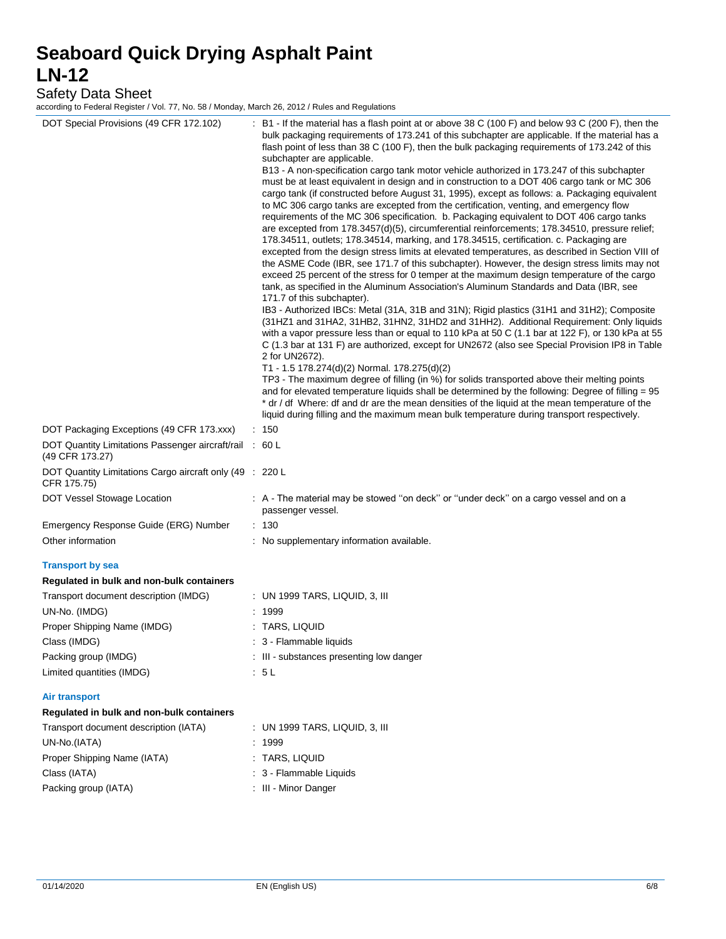Safety Data Sheet

according to Federal Register / Vol. 77, No. 58 / Monday, March 26, 2012 / Rules and Regulations

| DOT Special Provisions (49 CFR 172.102)                                 | : B1 - If the material has a flash point at or above 38 C (100 F) and below 93 C (200 F), then the<br>bulk packaging requirements of 173.241 of this subchapter are applicable. If the material has a<br>flash point of less than 38 C (100 F), then the bulk packaging requirements of 173.242 of this<br>subchapter are applicable.<br>B13 - A non-specification cargo tank motor vehicle authorized in 173.247 of this subchapter<br>must be at least equivalent in design and in construction to a DOT 406 cargo tank or MC 306<br>cargo tank (if constructed before August 31, 1995), except as follows: a. Packaging equivalent<br>to MC 306 cargo tanks are excepted from the certification, venting, and emergency flow<br>requirements of the MC 306 specification. b. Packaging equivalent to DOT 406 cargo tanks<br>are excepted from 178.3457(d)(5), circumferential reinforcements; 178.34510, pressure relief;<br>178.34511, outlets; 178.34514, marking, and 178.34515, certification. c. Packaging are<br>excepted from the design stress limits at elevated temperatures, as described in Section VIII of<br>the ASME Code (IBR, see 171.7 of this subchapter). However, the design stress limits may not<br>exceed 25 percent of the stress for 0 temper at the maximum design temperature of the cargo<br>tank, as specified in the Aluminum Association's Aluminum Standards and Data (IBR, see<br>171.7 of this subchapter).<br>IB3 - Authorized IBCs: Metal (31A, 31B and 31N); Rigid plastics (31H1 and 31H2); Composite<br>(31HZ1 and 31HA2, 31HB2, 31HN2, 31HD2 and 31HH2). Additional Requirement: Only liquids<br>with a vapor pressure less than or equal to 110 kPa at 50 C (1.1 bar at 122 F), or 130 kPa at 55<br>C (1.3 bar at 131 F) are authorized, except for UN2672 (also see Special Provision IP8 in Table<br>2 for UN2672).<br>T1 - 1.5 178.274(d)(2) Normal. 178.275(d)(2)<br>TP3 - The maximum degree of filling (in %) for solids transported above their melting points<br>and for elevated temperature liquids shall be determined by the following: Degree of filling = 95<br>* dr / df Where: df and dr are the mean densities of the liquid at the mean temperature of the<br>liquid during filling and the maximum mean bulk temperature during transport respectively. |
|-------------------------------------------------------------------------|-------------------------------------------------------------------------------------------------------------------------------------------------------------------------------------------------------------------------------------------------------------------------------------------------------------------------------------------------------------------------------------------------------------------------------------------------------------------------------------------------------------------------------------------------------------------------------------------------------------------------------------------------------------------------------------------------------------------------------------------------------------------------------------------------------------------------------------------------------------------------------------------------------------------------------------------------------------------------------------------------------------------------------------------------------------------------------------------------------------------------------------------------------------------------------------------------------------------------------------------------------------------------------------------------------------------------------------------------------------------------------------------------------------------------------------------------------------------------------------------------------------------------------------------------------------------------------------------------------------------------------------------------------------------------------------------------------------------------------------------------------------------------------------------------------------------------------------------------------------------------------------------------------------------------------------------------------------------------------------------------------------------------------------------------------------------------------------------------------------------------------------------------------------------------------------------------------------------------------------------------------------------------------------------------------------------------|
| DOT Packaging Exceptions (49 CFR 173.xxx)                               | $\therefore$ 150                                                                                                                                                                                                                                                                                                                                                                                                                                                                                                                                                                                                                                                                                                                                                                                                                                                                                                                                                                                                                                                                                                                                                                                                                                                                                                                                                                                                                                                                                                                                                                                                                                                                                                                                                                                                                                                                                                                                                                                                                                                                                                                                                                                                                                                                                                        |
| DOT Quantity Limitations Passenger aircraft/rail : 60 L                 |                                                                                                                                                                                                                                                                                                                                                                                                                                                                                                                                                                                                                                                                                                                                                                                                                                                                                                                                                                                                                                                                                                                                                                                                                                                                                                                                                                                                                                                                                                                                                                                                                                                                                                                                                                                                                                                                                                                                                                                                                                                                                                                                                                                                                                                                                                                         |
| (49 CFR 173.27)                                                         |                                                                                                                                                                                                                                                                                                                                                                                                                                                                                                                                                                                                                                                                                                                                                                                                                                                                                                                                                                                                                                                                                                                                                                                                                                                                                                                                                                                                                                                                                                                                                                                                                                                                                                                                                                                                                                                                                                                                                                                                                                                                                                                                                                                                                                                                                                                         |
| DOT Quantity Limitations Cargo aircraft only (49 : 220 L<br>CFR 175.75) |                                                                                                                                                                                                                                                                                                                                                                                                                                                                                                                                                                                                                                                                                                                                                                                                                                                                                                                                                                                                                                                                                                                                                                                                                                                                                                                                                                                                                                                                                                                                                                                                                                                                                                                                                                                                                                                                                                                                                                                                                                                                                                                                                                                                                                                                                                                         |
| DOT Vessel Stowage Location                                             | : A - The material may be stowed "on deck" or "under deck" on a cargo vessel and on a<br>passenger vessel.                                                                                                                                                                                                                                                                                                                                                                                                                                                                                                                                                                                                                                                                                                                                                                                                                                                                                                                                                                                                                                                                                                                                                                                                                                                                                                                                                                                                                                                                                                                                                                                                                                                                                                                                                                                                                                                                                                                                                                                                                                                                                                                                                                                                              |
| Emergency Response Guide (ERG) Number                                   | : 130                                                                                                                                                                                                                                                                                                                                                                                                                                                                                                                                                                                                                                                                                                                                                                                                                                                                                                                                                                                                                                                                                                                                                                                                                                                                                                                                                                                                                                                                                                                                                                                                                                                                                                                                                                                                                                                                                                                                                                                                                                                                                                                                                                                                                                                                                                                   |
| Other information                                                       | : No supplementary information available.                                                                                                                                                                                                                                                                                                                                                                                                                                                                                                                                                                                                                                                                                                                                                                                                                                                                                                                                                                                                                                                                                                                                                                                                                                                                                                                                                                                                                                                                                                                                                                                                                                                                                                                                                                                                                                                                                                                                                                                                                                                                                                                                                                                                                                                                               |
| <b>Transport by sea</b>                                                 |                                                                                                                                                                                                                                                                                                                                                                                                                                                                                                                                                                                                                                                                                                                                                                                                                                                                                                                                                                                                                                                                                                                                                                                                                                                                                                                                                                                                                                                                                                                                                                                                                                                                                                                                                                                                                                                                                                                                                                                                                                                                                                                                                                                                                                                                                                                         |
| Regulated in bulk and non-bulk containers                               |                                                                                                                                                                                                                                                                                                                                                                                                                                                                                                                                                                                                                                                                                                                                                                                                                                                                                                                                                                                                                                                                                                                                                                                                                                                                                                                                                                                                                                                                                                                                                                                                                                                                                                                                                                                                                                                                                                                                                                                                                                                                                                                                                                                                                                                                                                                         |
| Transport document description (IMDG)                                   | : UN 1999 TARS, LIQUID, 3, III                                                                                                                                                                                                                                                                                                                                                                                                                                                                                                                                                                                                                                                                                                                                                                                                                                                                                                                                                                                                                                                                                                                                                                                                                                                                                                                                                                                                                                                                                                                                                                                                                                                                                                                                                                                                                                                                                                                                                                                                                                                                                                                                                                                                                                                                                          |
| UN-No. (IMDG)                                                           | : 1999                                                                                                                                                                                                                                                                                                                                                                                                                                                                                                                                                                                                                                                                                                                                                                                                                                                                                                                                                                                                                                                                                                                                                                                                                                                                                                                                                                                                                                                                                                                                                                                                                                                                                                                                                                                                                                                                                                                                                                                                                                                                                                                                                                                                                                                                                                                  |
| Proper Shipping Name (IMDG)                                             | : TARS, LIQUID                                                                                                                                                                                                                                                                                                                                                                                                                                                                                                                                                                                                                                                                                                                                                                                                                                                                                                                                                                                                                                                                                                                                                                                                                                                                                                                                                                                                                                                                                                                                                                                                                                                                                                                                                                                                                                                                                                                                                                                                                                                                                                                                                                                                                                                                                                          |
| Class (IMDG)                                                            | 3 - Flammable liquids                                                                                                                                                                                                                                                                                                                                                                                                                                                                                                                                                                                                                                                                                                                                                                                                                                                                                                                                                                                                                                                                                                                                                                                                                                                                                                                                                                                                                                                                                                                                                                                                                                                                                                                                                                                                                                                                                                                                                                                                                                                                                                                                                                                                                                                                                                   |
| Packing group (IMDG)                                                    | : III - substances presenting low danger                                                                                                                                                                                                                                                                                                                                                                                                                                                                                                                                                                                                                                                                                                                                                                                                                                                                                                                                                                                                                                                                                                                                                                                                                                                                                                                                                                                                                                                                                                                                                                                                                                                                                                                                                                                                                                                                                                                                                                                                                                                                                                                                                                                                                                                                                |
| Limited quantities (IMDG)                                               | 5L                                                                                                                                                                                                                                                                                                                                                                                                                                                                                                                                                                                                                                                                                                                                                                                                                                                                                                                                                                                                                                                                                                                                                                                                                                                                                                                                                                                                                                                                                                                                                                                                                                                                                                                                                                                                                                                                                                                                                                                                                                                                                                                                                                                                                                                                                                                      |
| Air transport                                                           |                                                                                                                                                                                                                                                                                                                                                                                                                                                                                                                                                                                                                                                                                                                                                                                                                                                                                                                                                                                                                                                                                                                                                                                                                                                                                                                                                                                                                                                                                                                                                                                                                                                                                                                                                                                                                                                                                                                                                                                                                                                                                                                                                                                                                                                                                                                         |
| Regulated in bulk and non-bulk containers                               |                                                                                                                                                                                                                                                                                                                                                                                                                                                                                                                                                                                                                                                                                                                                                                                                                                                                                                                                                                                                                                                                                                                                                                                                                                                                                                                                                                                                                                                                                                                                                                                                                                                                                                                                                                                                                                                                                                                                                                                                                                                                                                                                                                                                                                                                                                                         |
| Transport document description (IATA)                                   | : UN 1999 TARS, LIQUID, 3, III                                                                                                                                                                                                                                                                                                                                                                                                                                                                                                                                                                                                                                                                                                                                                                                                                                                                                                                                                                                                                                                                                                                                                                                                                                                                                                                                                                                                                                                                                                                                                                                                                                                                                                                                                                                                                                                                                                                                                                                                                                                                                                                                                                                                                                                                                          |
| UN-No.(IATA)                                                            | : 1999                                                                                                                                                                                                                                                                                                                                                                                                                                                                                                                                                                                                                                                                                                                                                                                                                                                                                                                                                                                                                                                                                                                                                                                                                                                                                                                                                                                                                                                                                                                                                                                                                                                                                                                                                                                                                                                                                                                                                                                                                                                                                                                                                                                                                                                                                                                  |
| Proper Shipping Name (IATA)                                             | : TARS, LIQUID                                                                                                                                                                                                                                                                                                                                                                                                                                                                                                                                                                                                                                                                                                                                                                                                                                                                                                                                                                                                                                                                                                                                                                                                                                                                                                                                                                                                                                                                                                                                                                                                                                                                                                                                                                                                                                                                                                                                                                                                                                                                                                                                                                                                                                                                                                          |
| Class (IATA)                                                            | : 3 - Flammable Liquids                                                                                                                                                                                                                                                                                                                                                                                                                                                                                                                                                                                                                                                                                                                                                                                                                                                                                                                                                                                                                                                                                                                                                                                                                                                                                                                                                                                                                                                                                                                                                                                                                                                                                                                                                                                                                                                                                                                                                                                                                                                                                                                                                                                                                                                                                                 |
| Packing group (IATA)                                                    | : III - Minor Danger                                                                                                                                                                                                                                                                                                                                                                                                                                                                                                                                                                                                                                                                                                                                                                                                                                                                                                                                                                                                                                                                                                                                                                                                                                                                                                                                                                                                                                                                                                                                                                                                                                                                                                                                                                                                                                                                                                                                                                                                                                                                                                                                                                                                                                                                                                    |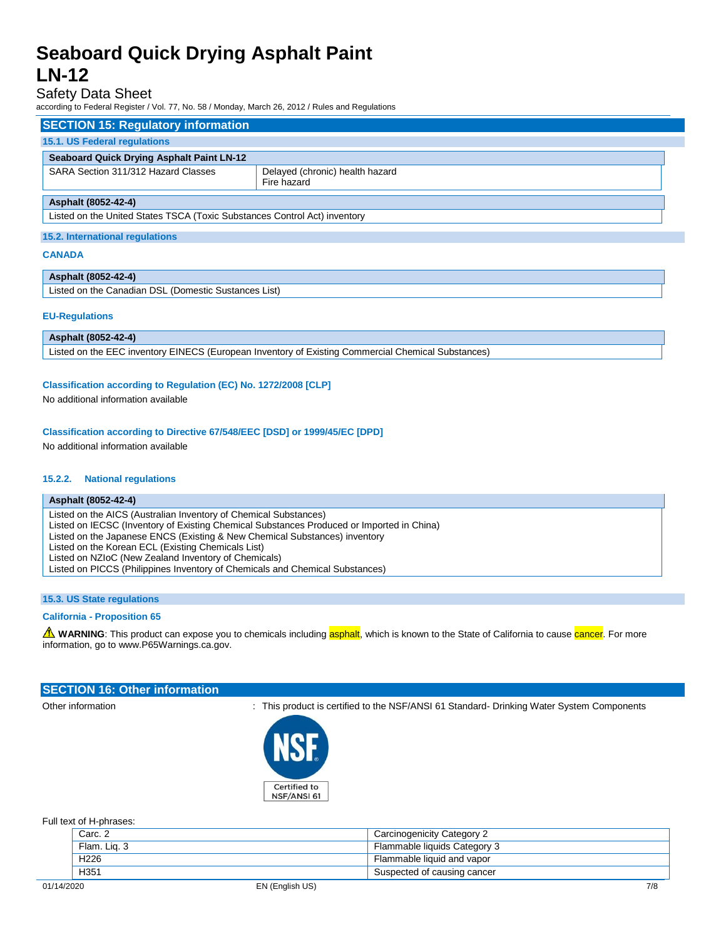### Safety Data Sheet

according to Federal Register / Vol. 77, No. 58 / Monday, March 26, 2012 / Rules and Regulations

| <b>SECTION 15: Regulatory information</b>                                 |                                                |  |  |
|---------------------------------------------------------------------------|------------------------------------------------|--|--|
| 15.1. US Federal regulations                                              |                                                |  |  |
| <b>Seaboard Quick Drying Asphalt Paint LN-12</b>                          |                                                |  |  |
| SARA Section 311/312 Hazard Classes                                       | Delayed (chronic) health hazard<br>Fire hazard |  |  |
| Asphalt (8052-42-4)                                                       |                                                |  |  |
| Listed on the United States TSCA (Toxic Substances Control Act) inventory |                                                |  |  |
| 15.2. International regulations                                           |                                                |  |  |

### **CANADA**

#### **Asphalt (8052-42-4)**

Listed on the Canadian DSL (Domestic Sustances List)

#### **EU-Regulations**

**Asphalt (8052-42-4)** Listed on the EEC inventory EINECS (European Inventory of Existing Commercial Chemical Substances)

### **Classification according to Regulation (EC) No. 1272/2008 [CLP]**

No additional information available

### **Classification according to Directive 67/548/EEC [DSD] or 1999/45/EC [DPD]**

No additional information available

#### **15.2.2. National regulations**

#### **Asphalt (8052-42-4)**

Listed on the AICS (Australian Inventory of Chemical Substances) Listed on IECSC (Inventory of Existing Chemical Substances Produced or Imported in China) Listed on the Japanese ENCS (Existing & New Chemical Substances) inventory Listed on the Korean ECL (Existing Chemicals List) Listed on NZIoC (New Zealand Inventory of Chemicals) Listed on PICCS (Philippines Inventory of Chemicals and Chemical Substances)

### **15.3. US State regulations**

### **California - Proposition 65**

WARNING: This product can expose you to chemicals including asphalt, which is known to the State of California to cause cancer. For more information, go to www.P65Warnings.ca.gov.

### **SECTION 16: Other information**

Other information **intervalsion** : This product is certified to the NSF/ANSI 61 Standard- Drinking Water System Components



Full text of H-phrases:

|            | Carc. 2          | Carcinogenicity Category 2   |  |
|------------|------------------|------------------------------|--|
|            | Flam, Lig. 3     | Flammable liquids Category 3 |  |
|            | H <sub>226</sub> | Flammable liquid and vapor   |  |
|            | H <sub>351</sub> | Suspected of causing cancer  |  |
| 01/14/2020 |                  | 7/8<br>EN (English US)       |  |